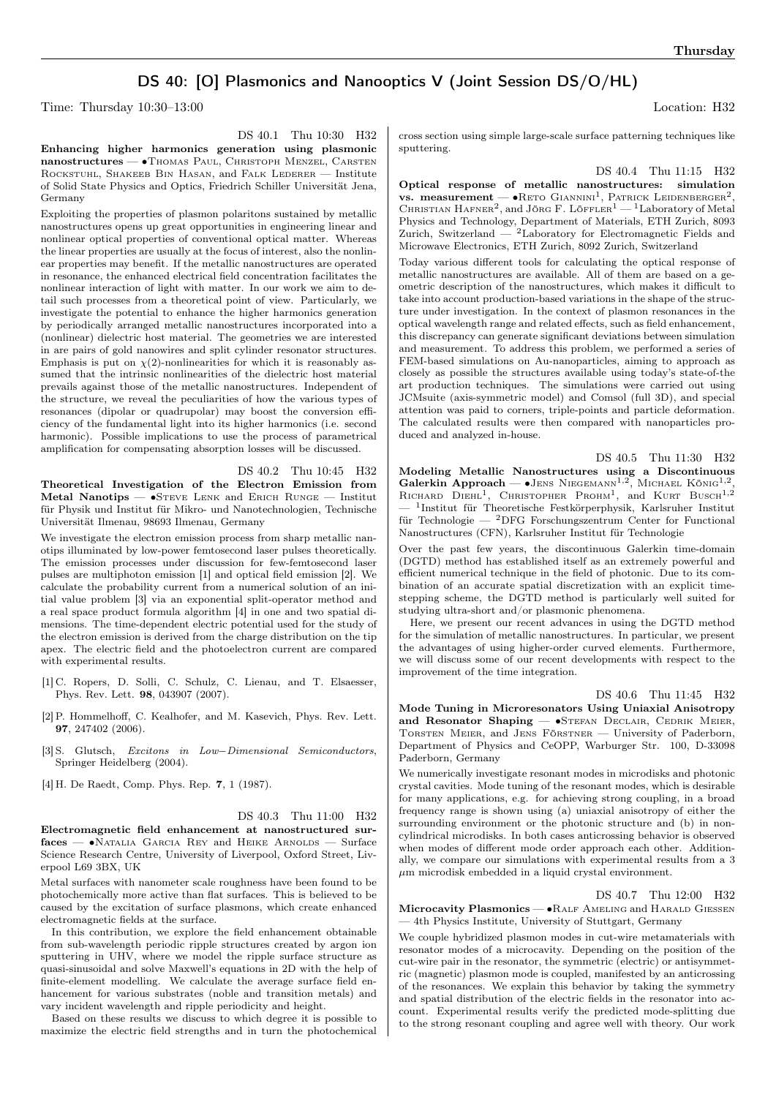## DS 40: [O] Plasmonics and Nanooptics V (Joint Session DS/O/HL)

Time: Thursday  $10:30-13:00$  Location: H32

DS 40.1 Thu 10:30 H32

Enhancing higher harmonics generation using plasmonic nanostructures — •Thomas Paul, Christoph Menzel, Carsten ROCKSTUHL, SHAKEEB BIN HASAN, and FALK LEDERER — Institute of Solid State Physics and Optics, Friedrich Schiller Universität Jena, Germany

Exploiting the properties of plasmon polaritons sustained by metallic nanostructures opens up great opportunities in engineering linear and nonlinear optical properties of conventional optical matter. Whereas the linear properties are usually at the focus of interest, also the nonlinear properties may benefit. If the metallic nanostructures are operated in resonance, the enhanced electrical field concentration facilitates the nonlinear interaction of light with matter. In our work we aim to detail such processes from a theoretical point of view. Particularly, we investigate the potential to enhance the higher harmonics generation by periodically arranged metallic nanostructures incorporated into a (nonlinear) dielectric host material. The geometries we are interested in are pairs of gold nanowires and split cylinder resonator structures. Emphasis is put on  $\chi$ (2)-nonlinearities for which it is reasonably assumed that the intrinsic nonlinearities of the dielectric host material prevails against those of the metallic nanostructures. Independent of the structure, we reveal the peculiarities of how the various types of resonances (dipolar or quadrupolar) may boost the conversion efficiency of the fundamental light into its higher harmonics (i.e. second harmonic). Possible implications to use the process of parametrical amplification for compensating absorption losses will be discussed.

DS 40.2 Thu 10:45 H32 Theoretical Investigation of the Electron Emission from Metal Nanotips — •STEVE LENK and ERICH RUNGE — Institut für Physik und Institut für Mikro- und Nanotechnologien, Technische Universität Ilmenau, 98693 Ilmenau, Germany

We investigate the electron emission process from sharp metallic nanotips illuminated by low-power femtosecond laser pulses theoretically. The emission processes under discussion for few-femtosecond laser pulses are multiphoton emission [1] and optical field emission [2]. We calculate the probability current from a numerical solution of an initial value problem [3] via an exponential split-operator method and a real space product formula algorithm [4] in one and two spatial dimensions. The time-dependent electric potential used for the study of the electron emission is derived from the charge distribution on the tip apex. The electric field and the photoelectron current are compared with experimental results.

- [1] C. Ropers, D. Solli, C. Schulz, C. Lienau, and T. Elsaesser, Phys. Rev. Lett. 98, 043907 (2007).
- [2] P. Hommelhoff, C. Kealhofer, and M. Kasevich, Phys. Rev. Lett. 97, 247402 (2006).
- [3] S. Glutsch, Excitons in Low−Dimensional Semiconductors, Springer Heidelberg (2004).
- [4] H. De Raedt, Comp. Phys. Rep. 7, 1 (1987).

DS 40.3 Thu 11:00 H32

Electromagnetic field enhancement at nanostructured sur $faces$  —  $\bullet$ Natalia Garcia Rey and Heike Arnolds — Surface Science Research Centre, University of Liverpool, Oxford Street, Liverpool L69 3BX, UK

Metal surfaces with nanometer scale roughness have been found to be photochemically more active than flat surfaces. This is believed to be caused by the excitation of surface plasmons, which create enhanced electromagnetic fields at the surface.

In this contribution, we explore the field enhancement obtainable from sub-wavelength periodic ripple structures created by argon ion sputtering in UHV, where we model the ripple surface structure as quasi-sinusoidal and solve Maxwell's equations in 2D with the help of finite-element modelling. We calculate the average surface field enhancement for various substrates (noble and transition metals) and vary incident wavelength and ripple periodicity and height.

Based on these results we discuss to which degree it is possible to maximize the electric field strengths and in turn the photochemical cross section using simple large-scale surface patterning techniques like sputtering.

DS 40.4 Thu 11:15 H32

Optical response of metallic nanostructures: simulation vs. measurement —  $\bullet$ RETO GIANNINI<sup>1</sup>, PATRICK LEIDENBERGER<sup>2</sup>, CHRISTIAN  $\text{HAFNER}^2$ , and Jörg F. Löffler<sup>1</sup> — <sup>1</sup>Laboratory of Metal Physics and Technology, Department of Materials, ETH Zurich, 8093 Zurich, Switzerland  $-$  <sup>2</sup>Laboratory for Electromagnetic Fields and Microwave Electronics, ETH Zurich, 8092 Zurich, Switzerland

Today various different tools for calculating the optical response of metallic nanostructures are available. All of them are based on a geometric description of the nanostructures, which makes it difficult to take into account production-based variations in the shape of the structure under investigation. In the context of plasmon resonances in the optical wavelength range and related effects, such as field enhancement, this discrepancy can generate significant deviations between simulation and measurement. To address this problem, we performed a series of FEM-based simulations on Au-nanoparticles, aiming to approach as closely as possible the structures available using today's state-of-the art production techniques. The simulations were carried out using JCMsuite (axis-symmetric model) and Comsol (full 3D), and special attention was paid to corners, triple-points and particle deformation. The calculated results were then compared with nanoparticles produced and analyzed in-house.

DS 40.5 Thu 11:30 H32

Modeling Metallic Nanostructures using a Discontinuous Galerkin Approach —  $\bullet$ JENS NIEGEMANN<sup>1,2</sup>, MICHAEL KÖNIG<sup>1,2</sup>, RICHARD DIEHL<sup>1</sup>, CHRISTOPHER PROHM<sup>1</sup>, and KURT BUSCH<sup>1,2</sup> — <sup>1</sup> Institut für Theoretische Festkörperphysik, Karlsruher Institut für Technologie — <sup>2</sup>DFG Forschungszentrum Center for Functional Nanostructures (CFN), Karlsruher Institut für Technologie

Over the past few years, the discontinuous Galerkin time-domain (DGTD) method has established itself as an extremely powerful and efficient numerical technique in the field of photonic. Due to its combination of an accurate spatial discretization with an explicit timestepping scheme, the DGTD method is particularly well suited for studying ultra-short and/or plasmonic phenomena.

Here, we present our recent advances in using the DGTD method for the simulation of metallic nanostructures. In particular, we present the advantages of using higher-order curved elements. Furthermore, we will discuss some of our recent developments with respect to the improvement of the time integration.

DS 40.6 Thu 11:45 H32

Mode Tuning in Microresonators Using Uniaxial Anisotropy and Resonator Shaping —  $\bullet$ Stefan Declair, Cedrik Meier, Torsten Meier, and Jens Förstner — University of Paderborn, Department of Physics and CeOPP, Warburger Str. 100, D-33098 Paderborn, Germany

We numerically investigate resonant modes in microdisks and photonic crystal cavities. Mode tuning of the resonant modes, which is desirable for many applications, e.g. for achieving strong coupling, in a broad frequency range is shown using (a) uniaxial anisotropy of either the surrounding environment or the photonic structure and (b) in noncylindrical microdisks. In both cases anticrossing behavior is observed when modes of different mode order approach each other. Additionally, we compare our simulations with experimental results from a 3  $\mu$ m microdisk embedded in a liquid crystal environment.

DS 40.7 Thu 12:00 H32

Microcavity Plasmonics — ∙Ralf Ameling and Harald Giessen — 4th Physics Institute, University of Stuttgart, Germany

We couple hybridized plasmon modes in cut-wire metamaterials with resonator modes of a microcavity. Depending on the position of the cut-wire pair in the resonator, the symmetric (electric) or antisymmetric (magnetic) plasmon mode is coupled, manifested by an anticrossing of the resonances. We explain this behavior by taking the symmetry and spatial distribution of the electric fields in the resonator into account. Experimental results verify the predicted mode-splitting due to the strong resonant coupling and agree well with theory. Our work